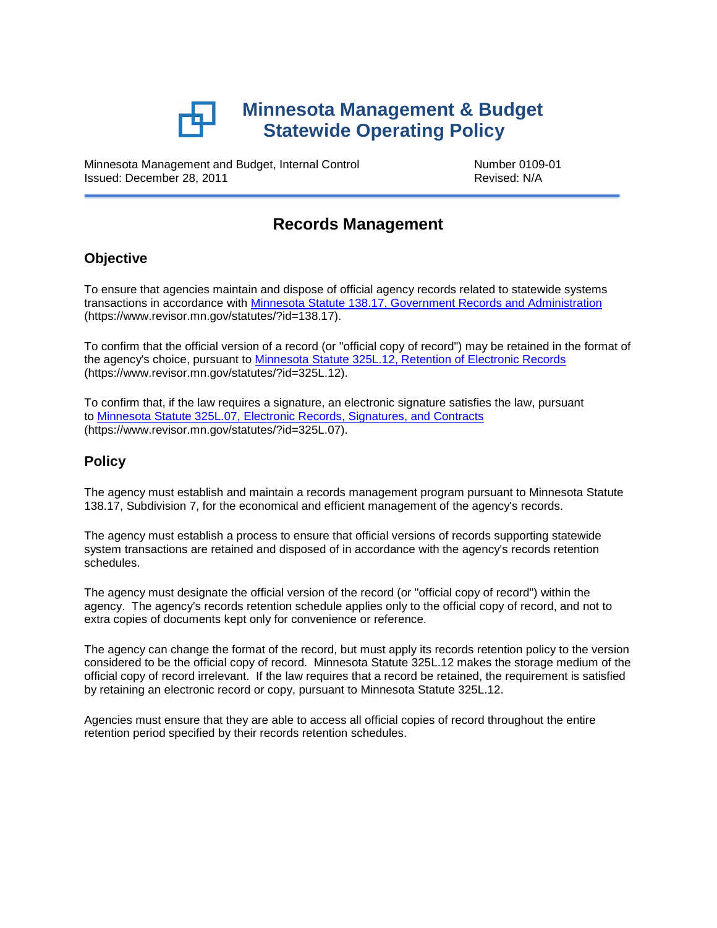

Minnesota Management and Budget, Internal Control **Number 0109-01**<br>Issued: December 28, 2011 Issued: December 28, 2011

# **Records Management**

## **Objective**

To ensure that agencies maintain and dispose of official agency records related to statewide systems transactions in accordance with [Minnesota Statute 138.17, Government Records and Administration](https://www.revisor.mn.gov/statutes/?id=138.17) (https://www.revisor.mn.gov/statutes/?id=138.17).

To confirm that the official version of a record (or "official copy of record") may be retained in the format of the agency's choice, pursuant to [Minnesota Statute 325L.12, Retention of Electronic Records](https://www.revisor.mn.gov/statutes/?id=325L.12) (https://www.revisor.mn.gov/statutes/?id=325L.12).

To confirm that, if the law requires a signature, an electronic signature satisfies the law, pursuant to Minnesota Statute 325L.07, [Electronic Records, Signatures, and Contracts](https://www.revisor.mn.gov/statutes/?id=325L.07) (https://www.revisor.mn.gov/statutes/?id=325L.07).

## **Policy**

The agency must establish and maintain a records management program pursuant to Minnesota Statute 138.17, Subdivision 7, for the economical and efficient management of the agency's records.

The agency must establish a process to ensure that official versions of records supporting statewide system transactions are retained and disposed of in accordance with the agency's records retention schedules.

The agency must designate the official version of the record (or "official copy of record") within the agency. The agency's records retention schedule applies only to the official copy of record, and not to extra copies of documents kept only for convenience or reference.

The agency can change the format of the record, but must apply its records retention policy to the version considered to be the official copy of record. Minnesota Statute 325L.12 makes the storage medium of the official copy of record irrelevant. If the law requires that a record be retained, the requirement is satisfied by retaining an electronic record or copy, pursuant to Minnesota Statute 325L.12.

Agencies must ensure that they are able to access all official copies of record throughout the entire retention period specified by their records retention schedules.